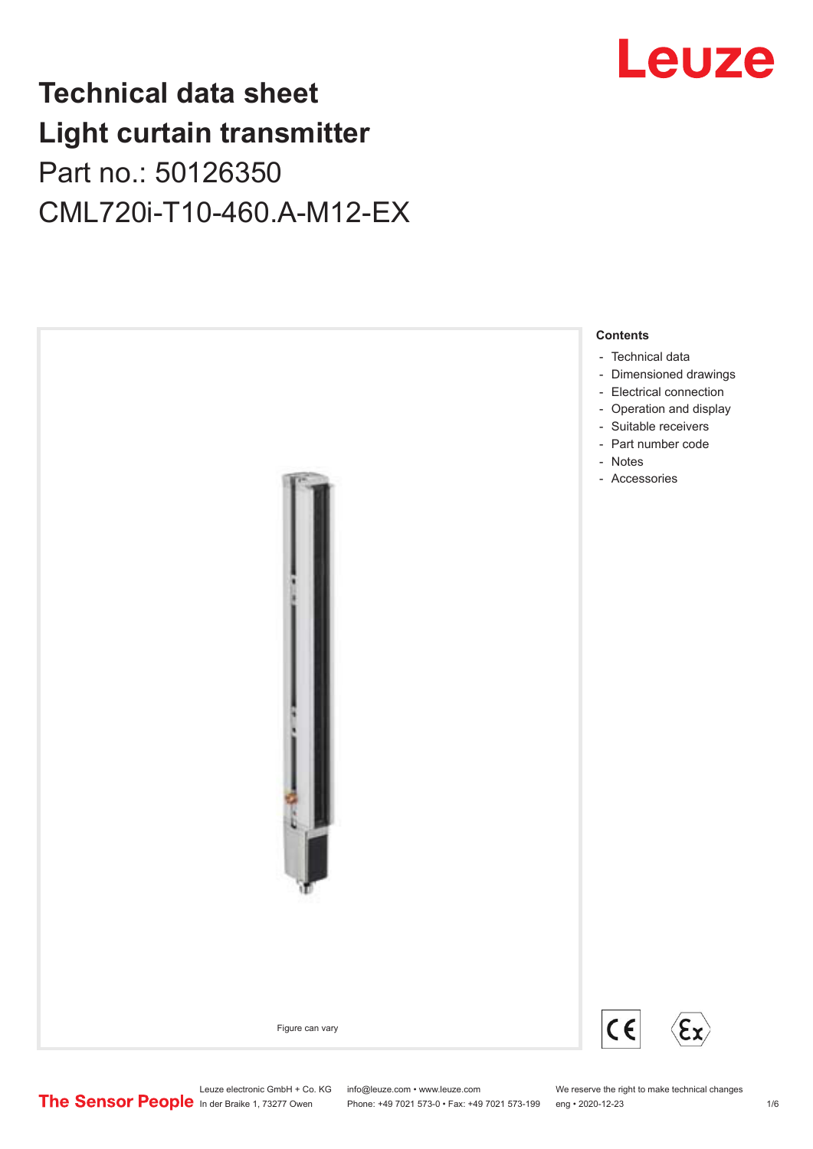## Leuze

## **Technical data sheet Light curtain transmitter** Part no.: 50126350 CML720i-T10-460.A-M12-EX



Leuze electronic GmbH + Co. KG info@leuze.com • www.leuze.com We reserve the right to make technical changes<br>
The Sensor People in der Braike 1, 73277 Owen Phone: +49 7021 573-0 • Fax: +49 7021 573-199 eng • 2020-12-23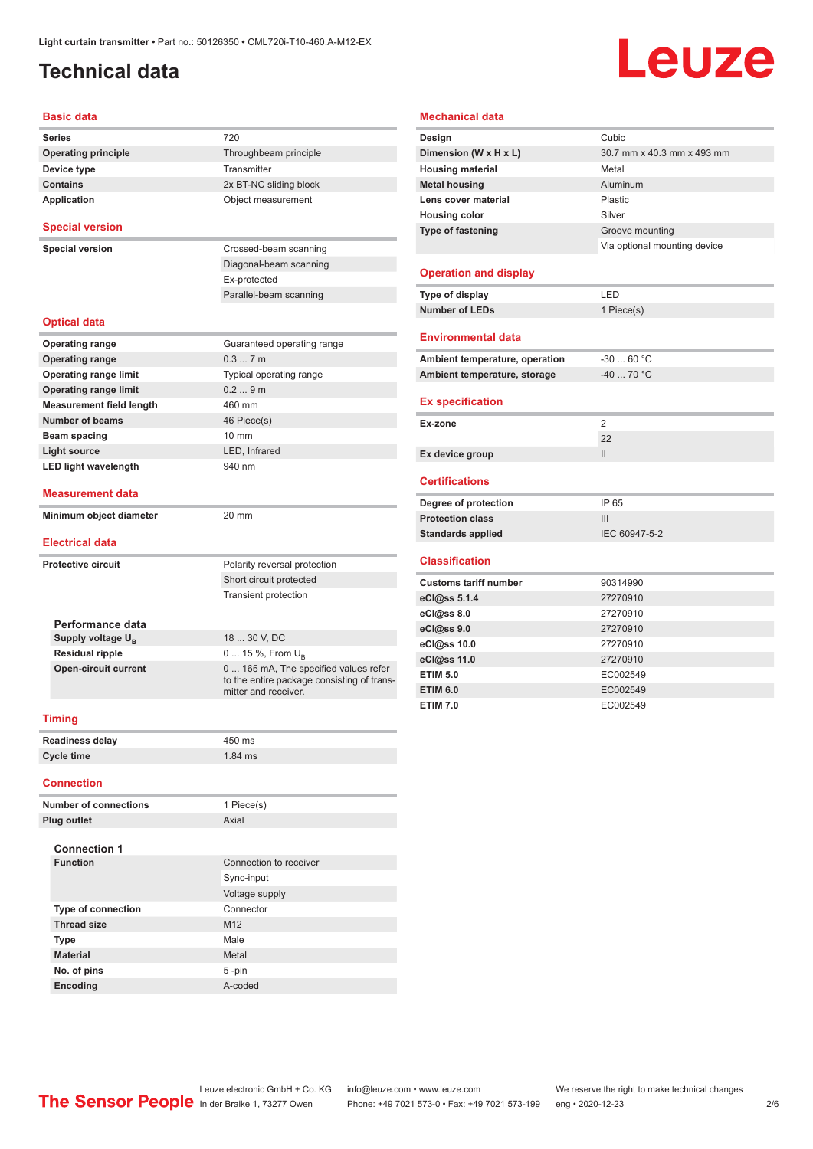### <span id="page-1-0"></span>**Technical data**

# Leuze

#### **Basic data**

| 720                                                           |
|---------------------------------------------------------------|
| Throughbeam principle                                         |
| Transmitter                                                   |
| 2x BT-NC sliding block                                        |
| Object measurement                                            |
|                                                               |
| Crossed-beam scanning                                         |
| Diagonal-beam scanning                                        |
| Ex-protected                                                  |
| Parallel-beam scanning                                        |
|                                                               |
| Guaranteed operating range                                    |
| 0.37m                                                         |
| Typical operating range                                       |
| 0.29m                                                         |
| 460 mm                                                        |
| 46 Piece(s)                                                   |
| 10 mm                                                         |
| LED, Infrared                                                 |
| 940 nm                                                        |
|                                                               |
|                                                               |
| 20 mm                                                         |
|                                                               |
|                                                               |
| Polarity reversal protection                                  |
| Short circuit protected                                       |
| <b>Transient protection</b>                                   |
|                                                               |
| 18  30 V, DC                                                  |
| 0  15 %, From $U_{\rm B}$                                     |
| 0  165 mA, The specified values refer<br>mitter and receiver. |
| to the entire package consisting of trans-                    |
|                                                               |
| 450 ms                                                        |
| 1.84 ms                                                       |
| 1 Piece(s)                                                    |
|                                                               |

| <b>Connection 1</b>       |                        |
|---------------------------|------------------------|
| <b>Function</b>           | Connection to receiver |
|                           | Sync-input             |
|                           | Voltage supply         |
| <b>Type of connection</b> | Connector              |
| <b>Thread size</b>        | M <sub>12</sub>        |
| <b>Type</b>               | Male                   |
| <b>Material</b>           | Metal                  |
| No. of pins               | $5 - pin$              |
| <b>Encoding</b>           | A-coded                |

#### **Mechanical data**

| Design                         | Cubic                        |
|--------------------------------|------------------------------|
| Dimension (W x H x L)          | 30.7 mm x 40.3 mm x 493 mm   |
| <b>Housing material</b>        | Metal                        |
| <b>Metal housing</b>           | Aluminum                     |
| Lens cover material            | Plastic                      |
| <b>Housing color</b>           | Silver                       |
| <b>Type of fastening</b>       | Groove mounting              |
|                                | Via optional mounting device |
|                                |                              |
| <b>Operation and display</b>   |                              |
| Type of display                | LED                          |
| <b>Number of LEDs</b>          | 1 Piece(s)                   |
|                                |                              |
| <b>Environmental data</b>      |                              |
| Ambient temperature, operation | $-3060 °C$                   |
| Ambient temperature, storage   | $-40$ 70 °C                  |
|                                |                              |
| <b>Ex specification</b>        |                              |
|                                |                              |
| Ex-zone                        | 2                            |
|                                | 22                           |
| Ex device group                | $\mathbf{II}$                |
|                                |                              |
| <b>Certifications</b>          |                              |
| Degree of protection           | IP 65                        |
| <b>Protection class</b>        | Ш                            |
| <b>Standards applied</b>       | IEC 60947-5-2                |
|                                |                              |
| <b>Classification</b>          |                              |
| <b>Customs tariff number</b>   | 90314990                     |
| eCl@ss 5.1.4                   | 27270910                     |
| eCl@ss 8.0                     | 27270910                     |
| eCl@ss 9.0                     | 27270910                     |
| eCl@ss 10.0                    | 27270910                     |
| eCl@ss 11.0                    | 27270910                     |
| <b>ETIM 5.0</b>                | EC002549                     |
| <b>ETIM 6.0</b>                | EC002549                     |

Leuze electronic GmbH + Co. KG info@leuze.com • www.leuze.com We reserve the right to make technical changes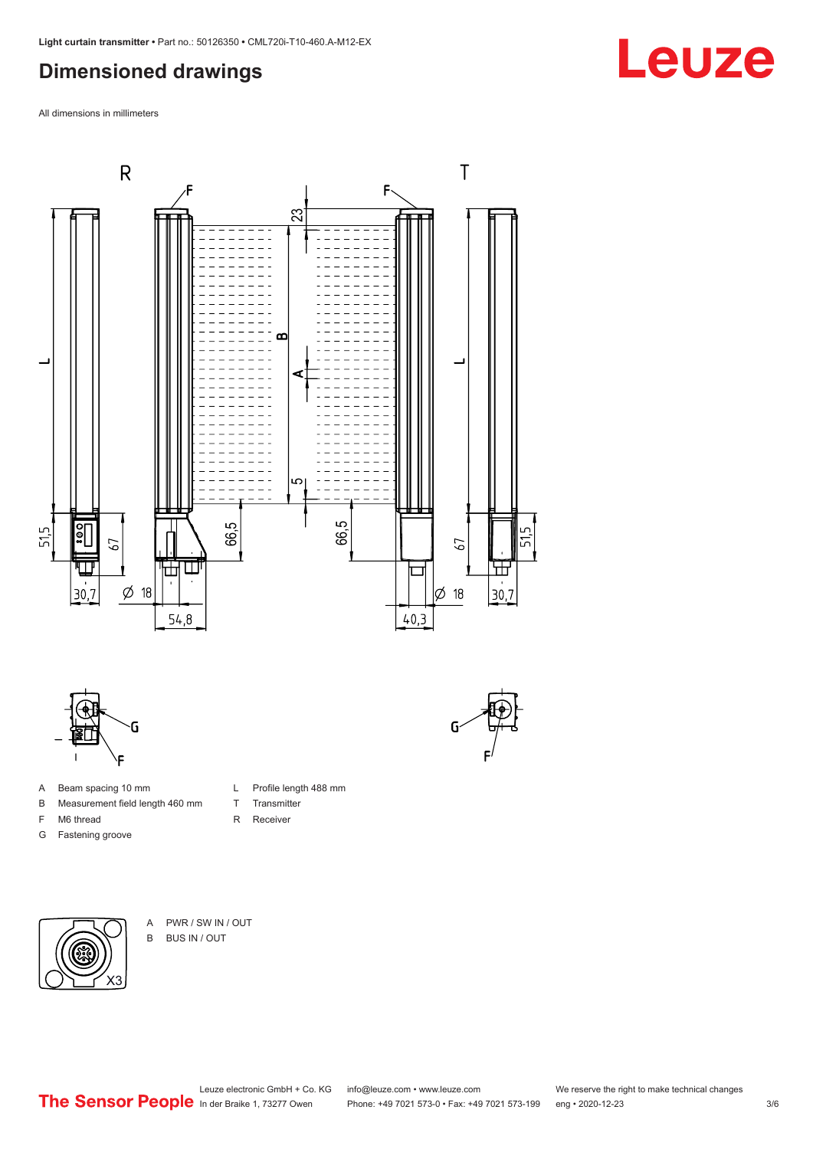### <span id="page-2-0"></span>**Dimensioned drawings**

All dimensions in millimeters



L Profile length 488 mm

T Transmitter R Receiver



- A Beam spacing 10 mm
- B Measurement field length 460 mm
- F M6 thread
- G Fastening groove
- 



A PWR / SW IN / OUT B BUS IN / OUT



## Leuze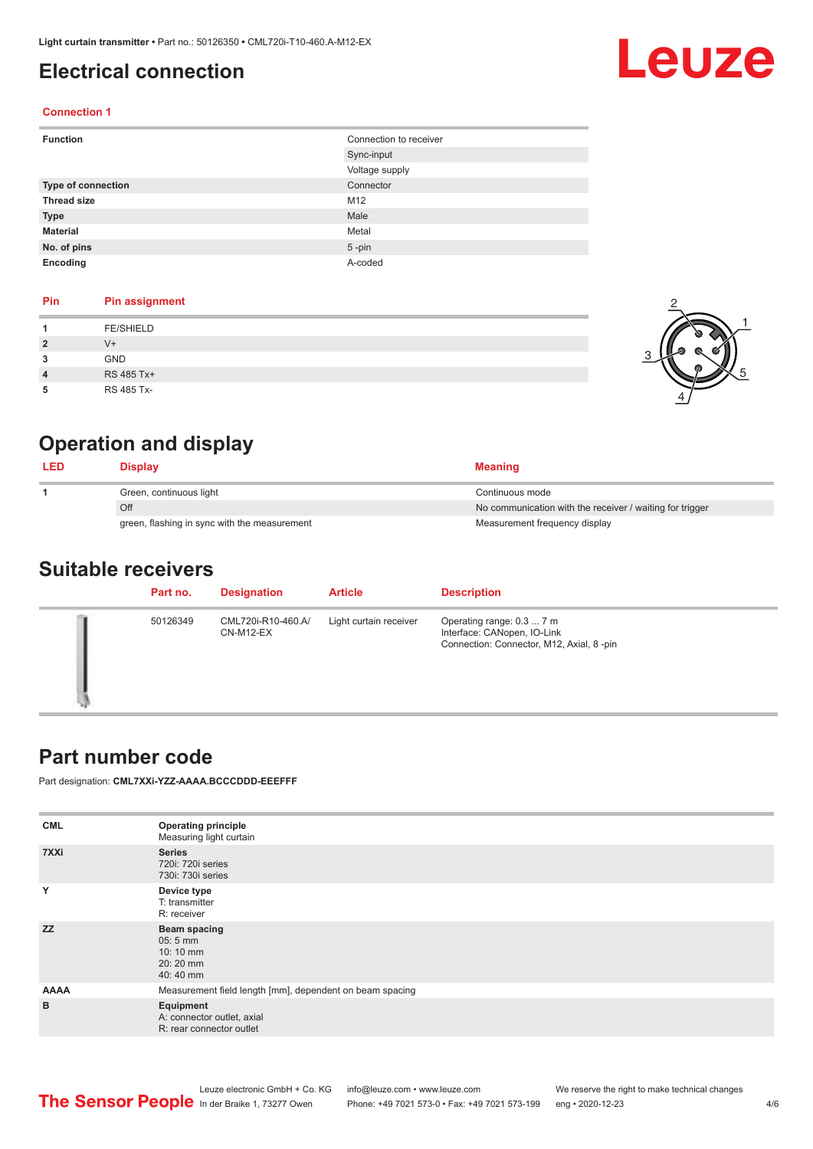### <span id="page-3-0"></span>**Electrical connection**

# Leuze

2

4

1

5

#### **Connection 1**

| <b>Function</b>           | Connection to receiver |
|---------------------------|------------------------|
|                           | Sync-input             |
|                           | Voltage supply         |
| <b>Type of connection</b> | Connector              |
| <b>Thread size</b>        | M12                    |
| <b>Type</b>               | Male                   |
| <b>Material</b>           | Metal                  |
| No. of pins               | $5$ -pin               |
| Encoding                  | A-coded                |

#### **Pin Pin assignment**

|                | <b>FE/SHIELD</b> |  |
|----------------|------------------|--|
| $\overline{2}$ | $V +$            |  |
| 3              | <b>GND</b>       |  |
| $\overline{4}$ | RS 485 Tx+       |  |
|                | RS 485 Tx-       |  |

### **Operation and display**

| <b>LED</b> | Display                                      | <b>Meaning</b>                                           |
|------------|----------------------------------------------|----------------------------------------------------------|
|            | Green, continuous light                      | Continuous mode                                          |
|            | Off                                          | No communication with the receiver / waiting for trigger |
|            | green, flashing in sync with the measurement | Measurement frequency display                            |

#### **Suitable receivers**

| Part no. | <b>Designation</b>              | <b>Article</b>         | <b>Description</b>                                                                                    |
|----------|---------------------------------|------------------------|-------------------------------------------------------------------------------------------------------|
| 50126349 | CML720i-R10-460.A/<br>CN-M12-EX | Light curtain receiver | Operating range: 0.3  7 m<br>Interface: CANopen, IO-Link<br>Connection: Connector, M12, Axial, 8 -pin |

#### **Part number code**

Part designation: **CML7XXi-YZZ-AAAA.BCCCDDD-EEEFFF**

| <b>CML</b><br>7XXi | <b>Operating principle</b><br>Measuring light curtain<br><b>Series</b><br>720i: 720i series |
|--------------------|---------------------------------------------------------------------------------------------|
|                    | 730i: 730i series                                                                           |
| Y                  | Device type<br>T: transmitter<br>R: receiver                                                |
| <b>ZZ</b>          | <b>Beam spacing</b><br>$05:5$ mm<br>10:10 mm<br>$20:20$ mm<br>40:40 mm                      |
| <b>AAAA</b>        | Measurement field length [mm], dependent on beam spacing                                    |
| B                  | Equipment<br>A: connector outlet, axial<br>R: rear connector outlet                         |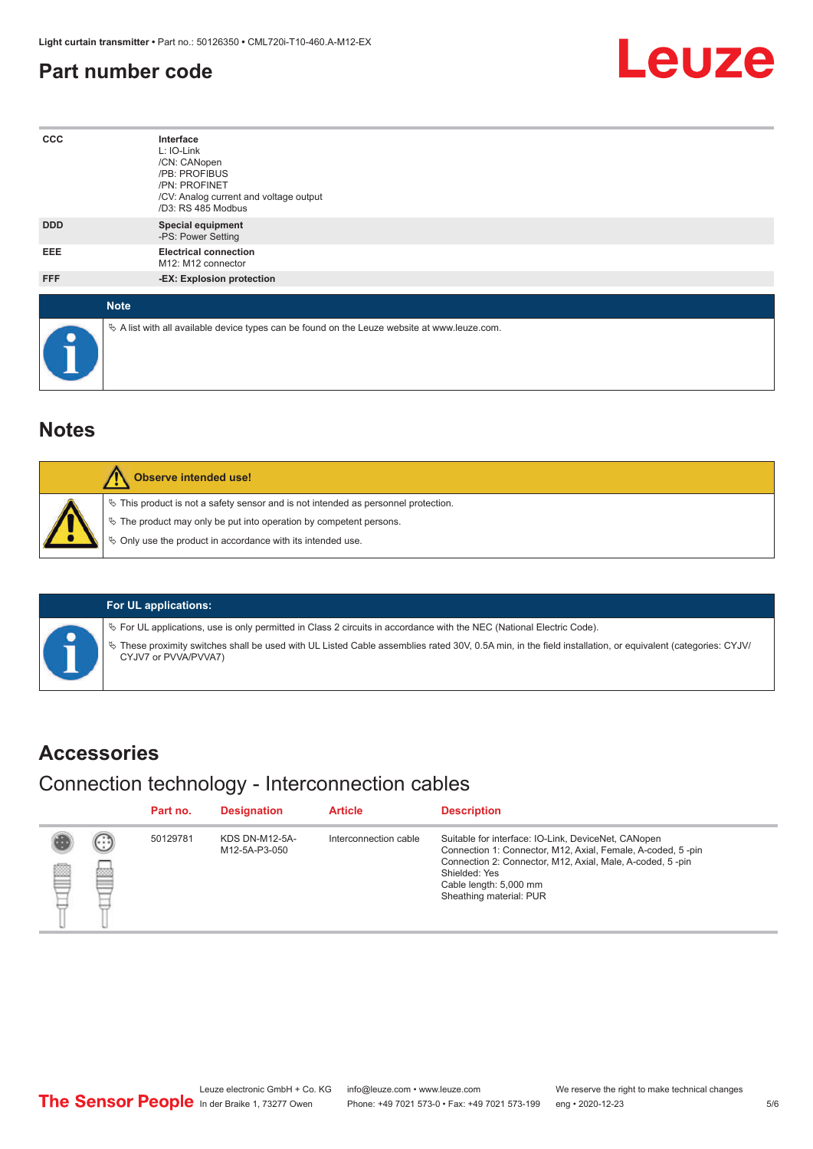#### <span id="page-4-0"></span>**Part number code**



| <b>CCC</b>  | Interface<br>L: IO-Link<br>/CN: CANopen<br>/PB: PROFIBUS<br>/PN: PROFINET<br>/CV: Analog current and voltage output<br>/D3: RS 485 Modbus |
|-------------|-------------------------------------------------------------------------------------------------------------------------------------------|
| <b>DDD</b>  | <b>Special equipment</b><br>-PS: Power Setting                                                                                            |
| EEE         | <b>Electrical connection</b><br>M12: M12 connector                                                                                        |
| FFF         | -EX: Explosion protection                                                                                                                 |
| <b>Note</b> |                                                                                                                                           |
| $\bullet$   | $\&$ A list with all available device types can be found on the Leuze website at www.leuze.com.                                           |

#### **Notes**

| Observe intended use!                                                                                                                                                                                                      |
|----------------------------------------------------------------------------------------------------------------------------------------------------------------------------------------------------------------------------|
| $\%$ This product is not a safety sensor and is not intended as personnel protection.<br>§ The product may only be put into operation by competent persons.<br>§ Only use the product in accordance with its intended use. |

#### **For UL applications:**

ª For UL applications, use is only permitted in Class 2 circuits in accordance with the NEC (National Electric Code).

ª These proximity switches shall be used with UL Listed Cable assemblies rated 30V, 0.5A min, in the field installation, or equivalent (categories: CYJV/ CYJV7 or PVVA/PVVA7)

#### **Accessories**

#### Connection technology - Interconnection cables

|   |                         | Part no. | <b>Designation</b>                     | <b>Article</b>        | <b>Description</b>                                                                                                                                                                                                                                    |
|---|-------------------------|----------|----------------------------------------|-----------------------|-------------------------------------------------------------------------------------------------------------------------------------------------------------------------------------------------------------------------------------------------------|
| § | (.<br><b>drams</b><br>œ | 50129781 | <b>KDS DN-M12-5A-</b><br>M12-5A-P3-050 | Interconnection cable | Suitable for interface: IO-Link, DeviceNet, CANopen<br>Connection 1: Connector, M12, Axial, Female, A-coded, 5-pin<br>Connection 2: Connector, M12, Axial, Male, A-coded, 5-pin<br>Shielded: Yes<br>Cable length: 5,000 mm<br>Sheathing material: PUR |